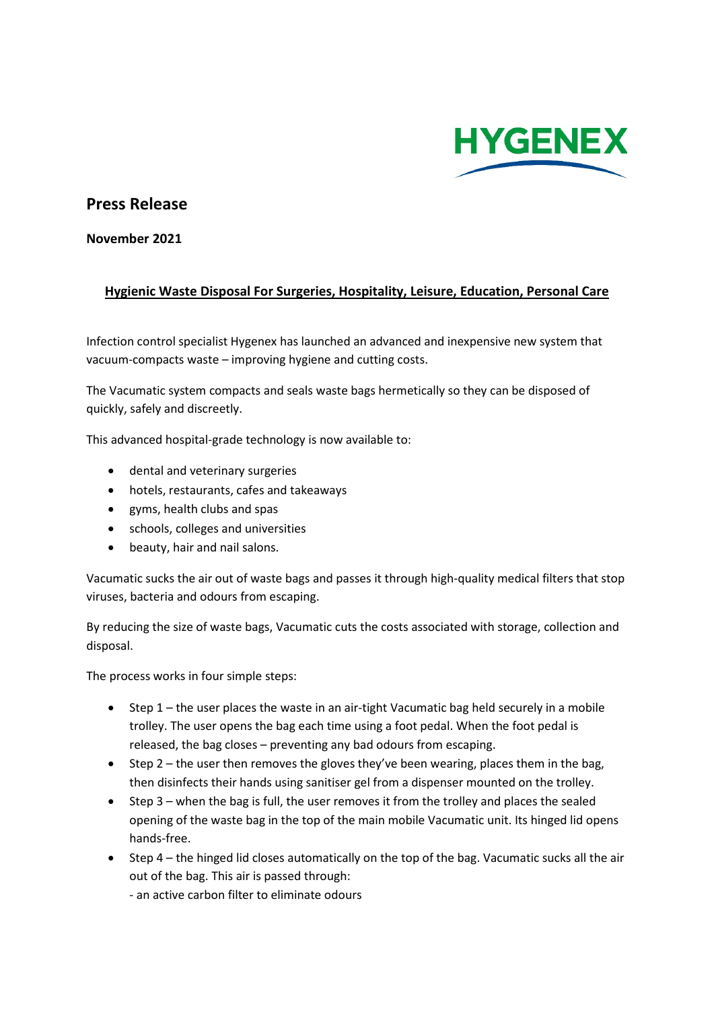

## **Press Release**

**November 2021**

## **Hygienic Waste Disposal For Surgeries, Hospitality, Leisure, Education, Personal Care**

Infection control specialist Hygenex has launched an advanced and inexpensive new system that vacuum-compacts waste – improving hygiene and cutting costs.

The Vacumatic system compacts and seals waste bags hermetically so they can be disposed of quickly, safely and discreetly.

This advanced hospital-grade technology is now available to:

- dental and veterinary surgeries
- hotels, restaurants, cafes and takeaways
- gyms, health clubs and spas
- schools, colleges and universities
- beauty, hair and nail salons.

Vacumatic sucks the air out of waste bags and passes it through high-quality medical filters that stop viruses, bacteria and odours from escaping.

By reducing the size of waste bags, Vacumatic cuts the costs associated with storage, collection and disposal.

The process works in four simple steps:

- Step 1 the user places the waste in an air-tight Vacumatic bag held securely in a mobile trolley. The user opens the bag each time using a foot pedal. When the foot pedal is released, the bag closes – preventing any bad odours from escaping.
- Step 2 the user then removes the gloves they've been wearing, places them in the bag, then disinfects their hands using sanitiser gel from a dispenser mounted on the trolley.
- Step 3 when the bag is full, the user removes it from the trolley and places the sealed opening of the waste bag in the top of the main mobile Vacumatic unit. Its hinged lid opens hands-free.
- Step 4 the hinged lid closes automatically on the top of the bag. Vacumatic sucks all the air out of the bag. This air is passed through:

- an active carbon filter to eliminate odours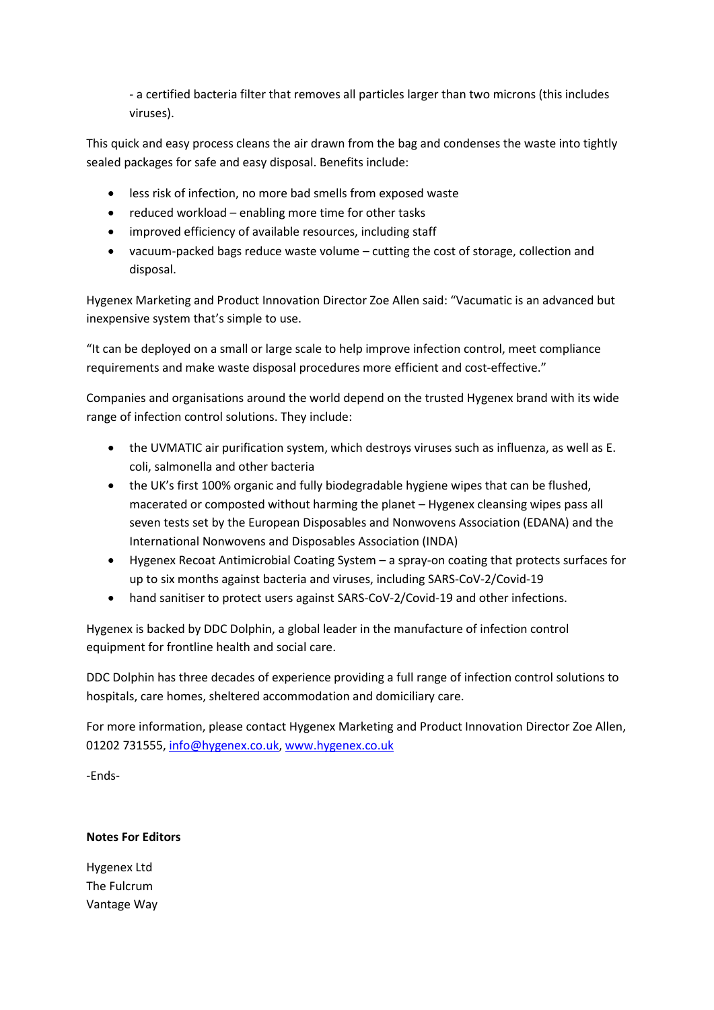- a certified bacteria filter that removes all particles larger than two microns (this includes viruses).

This quick and easy process cleans the air drawn from the bag and condenses the waste into tightly sealed packages for safe and easy disposal. Benefits include:

- less risk of infection, no more bad smells from exposed waste
- reduced workload enabling more time for other tasks
- improved efficiency of available resources, including staff
- vacuum-packed bags reduce waste volume cutting the cost of storage, collection and disposal.

Hygenex Marketing and Product Innovation Director Zoe Allen said: "Vacumatic is an advanced but inexpensive system that's simple to use.

"It can be deployed on a small or large scale to help improve infection control, meet compliance requirements and make waste disposal procedures more efficient and cost-effective."

Companies and organisations around the world depend on the trusted Hygenex brand with its wide range of infection control solutions. They include:

- the UVMATIC air purification system, which destroys viruses such as influenza, as well as E. coli, salmonella and other bacteria
- the UK's first 100% organic and fully biodegradable hygiene wipes that can be flushed, macerated or composted without harming the planet – Hygenex cleansing wipes pass all seven tests set by the European Disposables and Nonwovens Association (EDANA) and the International Nonwovens and Disposables Association (INDA)
- Hygenex Recoat Antimicrobial Coating System a spray-on coating that protects surfaces for up to six months against bacteria and viruses, including SARS-CoV-2/Covid-19
- hand sanitiser to protect users against SARS-CoV-2/Covid-19 and other infections.

Hygenex is backed by DDC Dolphin, a global leader in the manufacture of infection control equipment for frontline health and social care.

DDC Dolphin has three decades of experience providing a full range of infection control solutions to hospitals, care homes, sheltered accommodation and domiciliary care.

For more information, please contact Hygenex Marketing and Product Innovation Director Zoe Allen, 01202 731555, [info@hygenex.co.uk,](mailto:info@hygenex.co.uk) [www.hygenex.co.uk](http://www.hygenex.co.uk/) 

-Ends-

**Notes For Editors**

Hygenex Ltd The Fulcrum Vantage Way